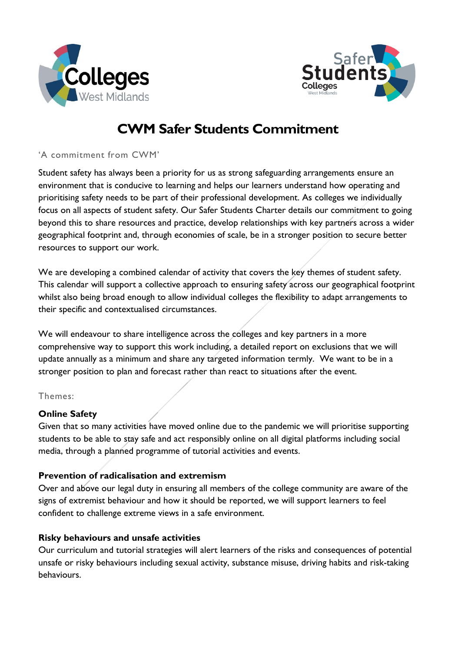



# **CWM Safer Students Commitment**

## 'A commitment from CWM'

Student safety has always been a priority for us as strong safeguarding arrangements ensure an environment that is conducive to learning and helps our learners understand how operating and prioritising safety needs to be part of their professional development. As colleges we individually focus on all aspects of student safety. Our Safer Students Charter details our commitment to going beyond this to share resources and practice, develop relationships with key partners across a wider geographical footprint and, through economies of scale, be in a stronger position to secure better resources to support our work.

We are developing a combined calendar of activity that covers the key themes of student safety. This calendar will support a collective approach to ensuring safety across our geographical footprint whilst also being broad enough to allow individual colleges the flexibility to adapt arrangements to their specific and contextualised circumstances.

We will endeavour to share intelligence across the colleges and key partners in a more comprehensive way to support this work including, a detailed report on exclusions that we will update annually as a minimum and share any targeted information termly. We want to be in a stronger position to plan and forecast rather than react to situations after the event.

#### Themes:

# **Online Safety**

Given that so many activities have moved online due to the pandemic we will prioritise supporting students to be able to stay safe and act responsibly online on all digital platforms including social media, through a planned programme of tutorial activities and events.

# **Prevention of radicalisation and extremism**

Over and above our legal duty in ensuring all members of the college community are aware of the signs of extremist behaviour and how it should be reported, we will support learners to feel confident to challenge extreme views in a safe environment.

# **Risky behaviours and unsafe activities**

Our curriculum and tutorial strategies will alert learners of the risks and consequences of potential unsafe or risky behaviours including sexual activity, substance misuse, driving habits and risk-taking behaviours.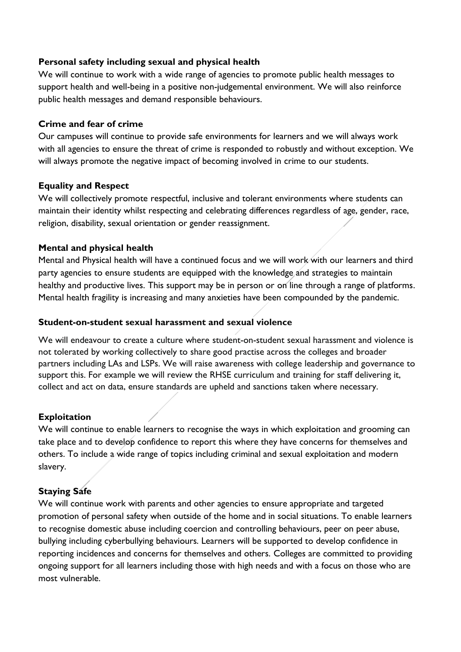## **Personal safety including sexual and physical health**

We will continue to work with a wide range of agencies to promote public health messages to support health and well-being in a positive non-judgemental environment. We will also reinforce public health messages and demand responsible behaviours.

#### **Crime and fear of crime**

Our campuses will continue to provide safe environments for learners and we will always work with all agencies to ensure the threat of crime is responded to robustly and without exception. We will always promote the negative impact of becoming involved in crime to our students.

## **Equality and Respect**

We will collectively promote respectful, inclusive and tolerant environments where students can maintain their identity whilst respecting and celebrating differences regardless of age, gender, race, religion, disability, sexual orientation or gender reassignment.

## **Mental and physical health**

Mental and Physical health will have a continued focus and we will work with our learners and third party agencies to ensure students are equipped with the knowledge and strategies to maintain healthy and productive lives. This support may be in person or on line through a range of platforms. Mental health fragility is increasing and many anxieties have been compounded by the pandemic.

## **Student-on-student sexual harassment and sexual violence**

We will endeavour to create a culture where student-on-student sexual harassment and violence is not tolerated by working collectively to share good practise across the colleges and broader partners including LAs and LSPs. We will raise awareness with college leadership and governance to support this. For example we will review the RHSE curriculum and training for staff delivering it, collect and act on data, ensure standards are upheld and sanctions taken where necessary.

# **Exploitation**

We will continue to enable learners to recognise the ways in which exploitation and grooming can take place and to develop confidence to report this where they have concerns for themselves and others. To include a wide range of topics including criminal and sexual exploitation and modern slavery.

# **Staying Safe**

We will continue work with parents and other agencies to ensure appropriate and targeted promotion of personal safety when outside of the home and in social situations. To enable learners to recognise domestic abuse including coercion and controlling behaviours, peer on peer abuse, bullying including cyberbullying behaviours. Learners will be supported to develop confidence in reporting incidences and concerns for themselves and others. Colleges are committed to providing ongoing support for all learners including those with high needs and with a focus on those who are most vulnerable.